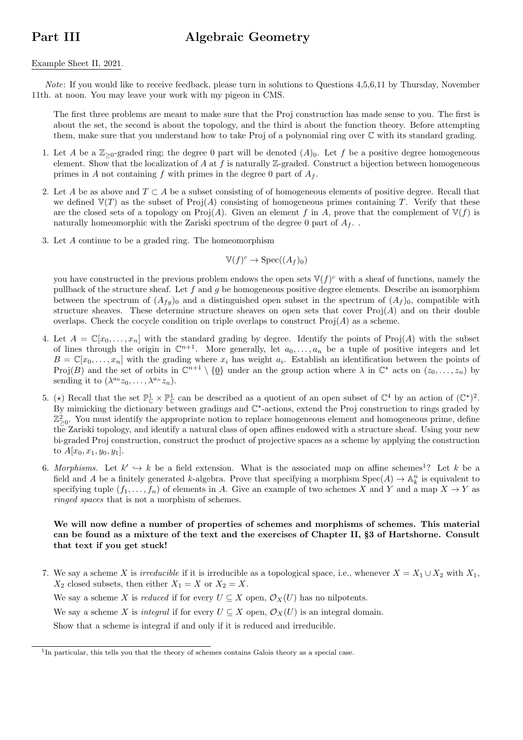## Part III Algebraic Geometry

## Example Sheet II, 2021.

Note: If you would like to receive feedback, please turn in solutions to Questions 4,5,6,11 by Thursday, November 11th. at noon. You may leave your work with my pigeon in CMS.

The first three problems are meant to make sure that the Proj construction has made sense to you. The first is about the set, the second is about the topology, and the third is about the function theory. Before attempting them, make sure that you understand how to take Proj of a polynomial ring over C with its standard grading.

- 1. Let A be a  $\mathbb{Z}_{\geq 0}$ -graded ring; the degree 0 part will be denoted  $(A)_0$ . Let f be a positive degree homogeneous element. Show that the localization of A at f is naturally  $\mathbb{Z}$ -graded. Construct a bijection between homogeneous primes in A not containing f with primes in the degree 0 part of  $A_f$ .
- 2. Let A be as above and  $T \subset A$  be a subset consisting of of homogeneous elements of positive degree. Recall that we defined  $\mathbb{V}(T)$  as the subset of Proj(A) consisting of homogeneous primes containing T. Verify that these are the closed sets of a topology on Proj(A). Given an element f in A, prove that the complement of  $\mathbb{V}(f)$  is naturally homeomorphic with the Zariski spectrum of the degree 0 part of  $A_f$ .
- 3. Let A continue to be a graded ring. The homeomorphism

$$
\mathbb{V}(f)^c \to \operatorname{Spec}((A_f)_0)
$$

you have constructed in the previous problem endows the open sets  $\mathbb{V}(f)^c$  with a sheaf of functions, namely the pullback of the structure sheaf. Let  $f$  and  $g$  be homogeneous positive degree elements. Describe an isomorphism between the spectrum of  $(A_{fg})_0$  and a distinguished open subset in the spectrum of  $(A_f)_0$ , compatible with structure sheaves. These determine structure sheaves on open sets that cover  $Proj(A)$  and on their double overlaps. Check the cocycle condition on triple overlaps to construct  $\text{Proj}(A)$  as a scheme.

- 4. Let  $A = \mathbb{C}[x_0, \ldots, x_n]$  with the standard grading by degree. Identify the points of Proj(A) with the subset of lines through the origin in  $\mathbb{C}^{n+1}$ . More generally, let  $a_0, \ldots, a_n$  be a tuple of positive integers and let  $B = \mathbb{C}[x_0, \ldots, x_n]$  with the grading where  $x_i$  has weight  $a_i$ . Establish an identification between the points of Proj $(B)$  and the set of orbits in  $\mathbb{C}^{n+1} \setminus \{0\}$  under an the group action where  $\lambda$  in  $\mathbb{C}^*$  acts on  $(z_0, \ldots, z_n)$  by sending it to  $(\lambda^{a_0}z_0,\ldots,\lambda^{a_n}z_n)$ .
- 5. ( $\star$ ) Recall that the set  $\mathbb{P}^1_{\mathbb{C}} \times \mathbb{P}^1_{\mathbb{C}}$  can be described as a quotient of an open subset of  $\mathbb{C}^4$  by an action of  $(\mathbb{C}^*)^2$ . By mimicking the dictionary between gradings and  $\mathbb{C}^*$ -actions, extend the Proj construction to rings graded by  $\mathbb{Z}_{\geq 0}^2$ . You must identify the appropriate notion to replace homogeneous element and homogeneous prime, define the Zariski topology, and identify a natural class of open affines endowed with a structure sheaf. Using your new bi-graded Proj construction, construct the product of projective spaces as a scheme by applying the construction to  $A[x_0, x_1, y_0, y_1].$
- 6. Morphisms. Let  $k' \hookrightarrow k$  be a field extension. What is the associated map on affine schemes<sup>1</sup>? Let k be a field and A be a finitely generated k-algebra. Prove that specifying a morphism  $Spec(A) \to \mathbb{A}_k^n$  is equivalent to specifying tuple  $(f_1, \ldots, f_n)$  of elements in A. Give an example of two schemes X and Y and a map  $X \to Y$  as ringed spaces that is not a morphism of schemes.

## We will now define a number of properties of schemes and morphisms of schemes. This material can be found as a mixture of the text and the exercises of Chapter II, §3 of Hartshorne. Consult that text if you get stuck!

7. We say a scheme X is *irreducible* if it is irreducible as a topological space, i.e., whenever  $X = X_1 \cup X_2$  with  $X_1$ ,  $X_2$  closed subsets, then either  $X_1 = X$  or  $X_2 = X$ . We say a scheme X is reduced if for every  $U \subseteq X$  open,  $\mathcal{O}_X(U)$  has no nilpotents.

We say a scheme X is *integral* if for every  $U \subseteq X$  open,  $\mathcal{O}_X(U)$  is an integral domain.

Show that a scheme is integral if and only if it is reduced and irreducible.

<sup>&</sup>lt;sup>1</sup>In particular, this tells you that the theory of schemes contains Galois theory as a special case.